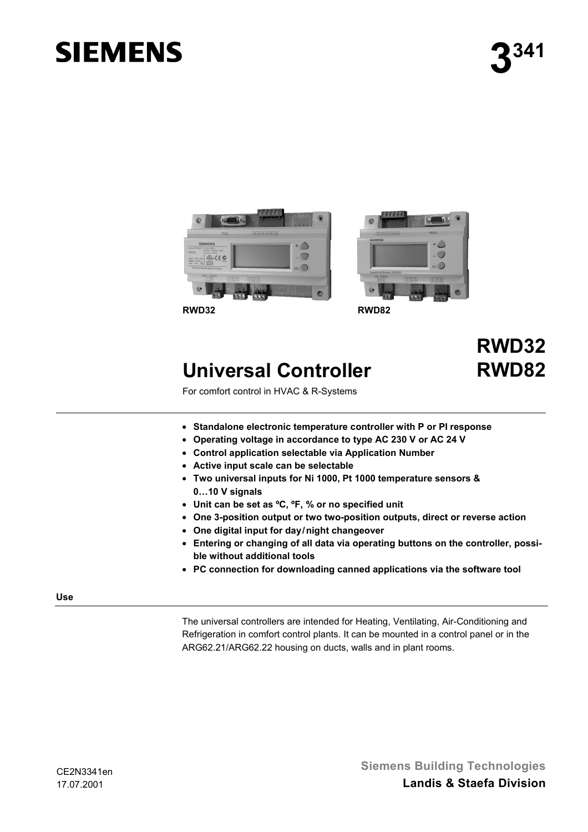# **SIEMENS**





### **Universal Controller**

## **RWD32 RWD82**

For comfort control in HVAC & R-Systems

- **Standalone electronic temperature controller with P or PI response**
- **Operating voltage in accordance to type AC 230 V or AC 24 V**
- **Control application selectable via Application Number**
- **Active input scale can be selectable**
- **Two universal inputs for Ni 1000, Pt 1000 temperature sensors & 0…10 V signals**
- **Unit can be set as ºC, ºF, % or no specified unit**
- **One 3-position output or two two-position outputs, direct or reverse action**
- **One digital input for day/night changeover**
- **Entering or changing of all data via operating buttons on the controller, possible without additional tools**
- **PC connection for downloading canned applications via the software tool**

#### **Use**

The universal controllers are intended for Heating, Ventilating, Air-Conditioning and Refrigeration in comfort control plants. It can be mounted in a control panel or in the ARG62.21/ARG62.22 housing on ducts, walls and in plant rooms.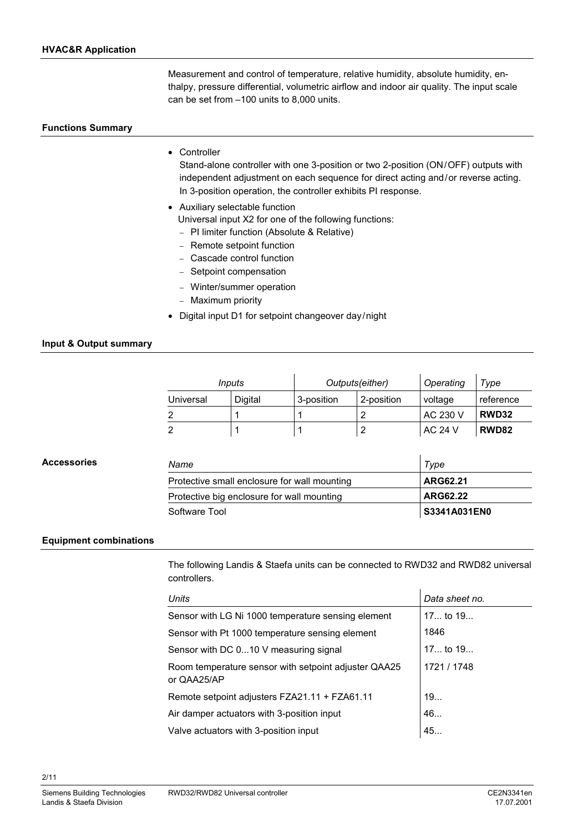Measurement and control of temperature, relative humidity, absolute humidity, enthalpy, pressure differential, volumetric airflow and indoor air quality. The input scale can be set from –100 units to 8,000 units.

#### **Functions Summary**

• Controller

Stand-alone controller with one 3-position or two 2-position (ON/OFF) outputs with independent adjustment on each sequence for direct acting and/or reverse acting. In 3-position operation, the controller exhibits PI response.

- Auxiliary selectable function
	- Universal input X2 for one of the following functions:
	- − PI limiter function (Absolute & Relative)
	- − Remote setpoint function
	- − Cascade control function
	- − Setpoint compensation
	- − Winter/summer operation
	- − Maximum priority
- Digital input D1 for setpoint changeover day/night

#### **Input & Output summary**

| Inputs    |         | Outputs(either) |            | Operating      | Type      |
|-----------|---------|-----------------|------------|----------------|-----------|
| Universal | Digital | 3-position      | 2-position | voltage        | reference |
|           |         |                 |            | AC 230 V       | RWD32     |
|           |         |                 |            | <b>AC 24 V</b> | RWD82     |

| <b>Accessories</b> | Name                                         | Type         |  |
|--------------------|----------------------------------------------|--------------|--|
|                    | Protective small enclosure for wall mounting | ARG62.21     |  |
|                    | Protective big enclosure for wall mounting   | ARG62.22     |  |
|                    | Software Tool                                | S3341A031EN0 |  |

#### **Equipment combinations**

The following Landis & Staefa units can be connected to RWD32 and RWD82 universal controllers.

| Units                                                               | Data sheet no. |
|---------------------------------------------------------------------|----------------|
| Sensor with LG Ni 1000 temperature sensing element                  | $17$ to $19$   |
| Sensor with Pt 1000 temperature sensing element                     | 1846           |
| Sensor with DC 010 V measuring signal                               | $17$ to $19$   |
| Room temperature sensor with setpoint adjuster QAA25<br>or QAA25/AP | 1721 / 1748    |
| Remote setpoint adjusters FZA21.11 + FZA61.11                       | 19             |
| Air damper actuators with 3-position input                          | 46             |
| Valve actuators with 3-position input                               | 45             |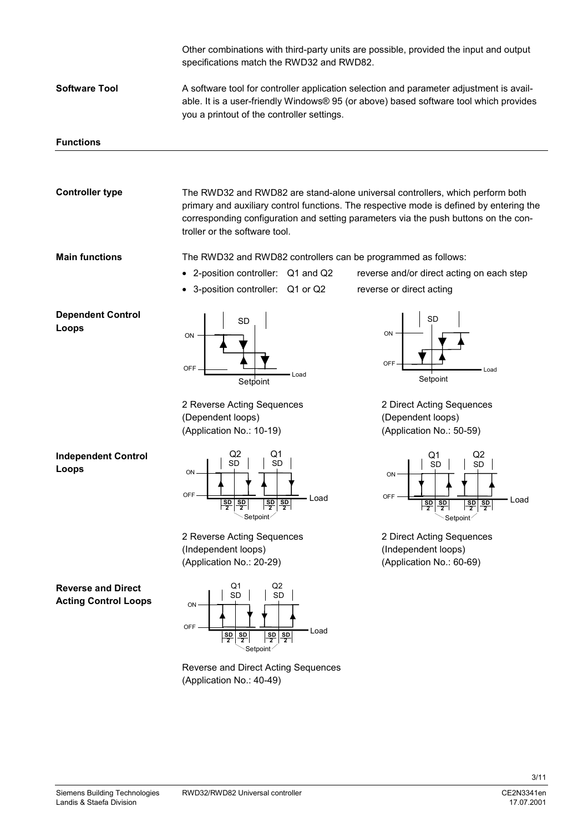|                                                          | Other combinations with third-party units are possible, provided the input and output<br>specifications match the RWD32 and RWD82.                                                                                                                                                               |                                                                                                                                  |
|----------------------------------------------------------|--------------------------------------------------------------------------------------------------------------------------------------------------------------------------------------------------------------------------------------------------------------------------------------------------|----------------------------------------------------------------------------------------------------------------------------------|
| <b>Software Tool</b>                                     | A software tool for controller application selection and parameter adjustment is avail-<br>able. It is a user-friendly Windows® 95 (or above) based software tool which provides<br>you a printout of the controller settings.                                                                   |                                                                                                                                  |
| <b>Functions</b>                                         |                                                                                                                                                                                                                                                                                                  |                                                                                                                                  |
|                                                          |                                                                                                                                                                                                                                                                                                  |                                                                                                                                  |
| <b>Controller type</b>                                   | The RWD32 and RWD82 are stand-alone universal controllers, which perform both<br>primary and auxiliary control functions. The respective mode is defined by entering the<br>corresponding configuration and setting parameters via the push buttons on the con-<br>troller or the software tool. |                                                                                                                                  |
| <b>Main functions</b>                                    | The RWD32 and RWD82 controllers can be programmed as follows:                                                                                                                                                                                                                                    |                                                                                                                                  |
|                                                          | • 2-position controller: Q1 and Q2                                                                                                                                                                                                                                                               | reverse and/or direct acting on each step                                                                                        |
|                                                          | 3-position controller: Q1 or Q2                                                                                                                                                                                                                                                                  | reverse or direct acting                                                                                                         |
| <b>Dependent Control</b><br>Loops                        | SD<br>ON<br><b>OFF</b><br>Load<br>Setpoint<br>2 Reverse Acting Sequences                                                                                                                                                                                                                         | ON<br>OFF<br>Load<br>Setpoint<br>2 Direct Acting Sequences                                                                       |
|                                                          | (Dependent loops)<br>(Application No.: 10-19)                                                                                                                                                                                                                                                    | (Dependent loops)<br>(Application No.: 50-59)                                                                                    |
| <b>Independent Control</b><br>Loops                      | Q1<br>SD<br><b>SD</b><br>ON<br>OFF<br>Load<br>$\frac{SD}{2}$<br>$\frac{sp}{2}$<br>$\frac{sp}{2}$<br>$\frac{SD}{2}$<br>Setpoint                                                                                                                                                                   | Q2<br>Q1<br><b>SD</b><br>SD<br>ΟŅ<br>OFF<br>Load<br>$rac{SD}{2}$<br>$\frac{SD}{2}$<br>$rac{SD}{2}$<br>$\frac{SD}{2}$<br>Setpoint |
|                                                          | 2 Reverse Acting Sequences<br>(Independent loops)<br>(Application No.: 20-29)                                                                                                                                                                                                                    | 2 Direct Acting Sequences<br>(Independent loops)<br>(Application No.: 60-69)                                                     |
| <b>Reverse and Direct</b><br><b>Acting Control Loops</b> | Q2<br>Q1<br><b>SD</b><br><b>SD</b><br>ON<br>OFF-<br>Load<br>$rac{\overline{SD}}{2}$<br>$rac{\text{SD}}{2}$<br>$rac{\text{SD}}{2}$<br>$rac{\text{SD}}{2}$<br>Setpoint <sup>/</sup>                                                                                                                |                                                                                                                                  |
|                                                          | Reverse and Direct Acting Sequences<br>(Application No.: 40-49)                                                                                                                                                                                                                                  |                                                                                                                                  |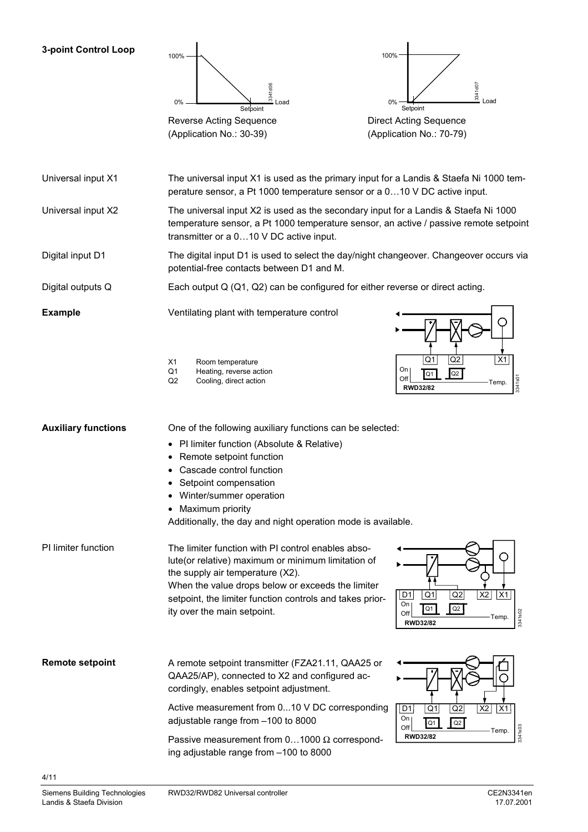#### **3-point Control Loop**





(Application No.: 70-79)

The universal input X1 is used as the primary input for a Landis & Staefa Ni 1000 temperature sensor, a Pt 1000 temperature sensor or a 0…10 V DC active input. Universal input X1

The universal input X2 is used as the secondary input for a Landis & Staefa Ni 1000 temperature sensor, a Pt 1000 temperature sensor, an active / passive remote setpoint transmitter or a 0…10 V DC active input. Universal input X2

The digital input D1 is used to select the day/night changeover. Changeover occurs via potential-free contacts between D1 and M. Digital input D1

Each output Q (Q1, Q2) can be configured for either reverse or direct acting. Digital outputs Q

**Example**

Ventilating plant with temperature control



X1 Room temperature<br>Q1 Heating, reverse at Heating, reverse action

Q2 Cooling, direct action

**Auxiliary functions**

- PI limiter function (Absolute & Relative)
- Remote setpoint function
- Cascade control function
- Setpoint compensation
- Winter/summer operation
- Maximum priority

Additionally, the day and night operation mode is available.

One of the following auxiliary functions can be selected:

PI limiter function

the supply air temperature (X2).

When the value drops below or exceeds the limiter setpoint, the limiter function controls and takes prior-

The limiter function with PI control enables absolute(or relative) maximum or minimum limitation of



A remote setpoint transmitter (FZA21.11, QAA25 or QAA25/AP), connected to X2 and configured accordingly, enables setpoint adjustment. **Remote setpoint**

> Active measurement from 0...10 V DC corresponding adjustable range from –100 to 8000

Passive measurement from  $0...1000 \Omega$  corresponding adjustable range from –100 to 8000

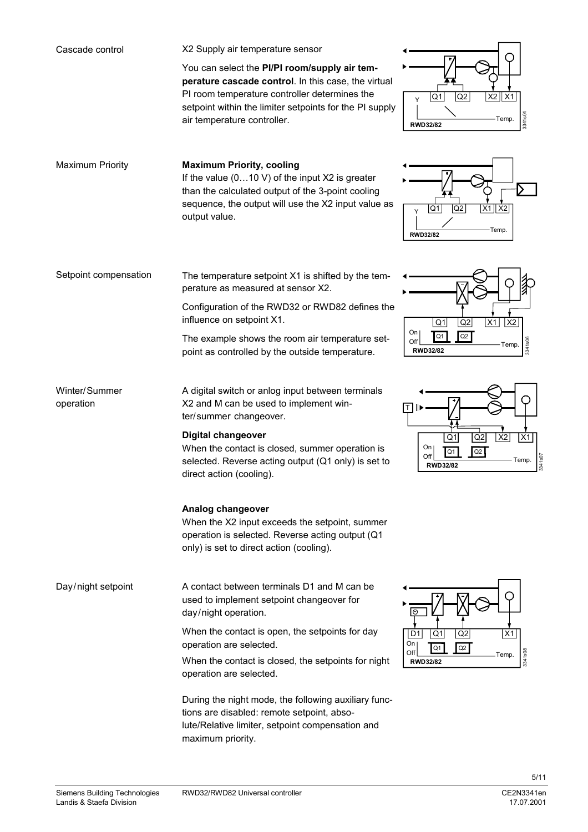| Cascade control            | X2 Supply air temperature sensor                                                                                                                                                                                                                |                                                                                                     |
|----------------------------|-------------------------------------------------------------------------------------------------------------------------------------------------------------------------------------------------------------------------------------------------|-----------------------------------------------------------------------------------------------------|
|                            | You can select the PI/PI room/supply air tem-<br>perature cascade control. In this case, the virtual<br>PI room temperature controller determines the<br>setpoint within the limiter setpoints for the PI supply<br>air temperature controller. | $X2$ $X1$<br>Q1<br>Q <sub>2</sub><br>3341s04<br>Temp.<br><b>RWD32/82</b>                            |
| <b>Maximum Priority</b>    | <b>Maximum Priority, cooling</b><br>If the value $(010 V)$ of the input X2 is greater<br>than the calculated output of the 3-point cooling<br>sequence, the output will use the X2 input value as<br>output value.                              | Q2<br> Q1 <br>$X1$ $X2$<br>Y<br>Temp.<br><b>RWD32/82</b>                                            |
| Setpoint compensation      | The temperature setpoint X1 is shifted by the tem-<br>perature as measured at sensor X2.                                                                                                                                                        |                                                                                                     |
|                            | Configuration of the RWD32 or RWD82 defines the<br>influence on setpoint X1.                                                                                                                                                                    | X <sub>2</sub><br>Q1<br>Q2<br>X1                                                                    |
|                            | The example shows the room air temperature set-<br>point as controlled by the outside temperature.                                                                                                                                              | On<br>Q <sub>1</sub><br>Q2<br>Off<br>3341s0<br>Temp.<br><b>RWD32/82</b>                             |
| Winter/Summer<br>operation | A digital switch or anlog input between terminals<br>X2 and M can be used to implement win-<br>ter/summer changeover.                                                                                                                           | IT I                                                                                                |
|                            | <b>Digital changeover</b><br>When the contact is closed, summer operation is<br>selected. Reverse acting output (Q1 only) is set to<br>direct action (cooling).                                                                                 | $\overline{X2}$<br>Q2<br>X1<br>Q1<br>On <sub>1</sub><br>Q1<br>Q2<br>Off<br>Temp.<br><b>RWD32/82</b> |
|                            | Analog changeover<br>When the X2 input exceeds the setpoint, summer<br>operation is selected. Reverse acting output (Q1<br>only) is set to direct action (cooling).                                                                             |                                                                                                     |
| Day/night setpoint         | A contact between terminals D1 and M can be<br>used to implement setpoint changeover for<br>day/night operation.                                                                                                                                |                                                                                                     |
|                            | When the contact is open, the setpoints for day<br>operation are selected.                                                                                                                                                                      | Q <sub>1</sub><br>Q2<br>X <sub>1</sub><br>D1<br>On<br>$Q2$<br>Q <sub>1</sub><br>Off                 |
|                            | When the contact is closed, the setpoints for night<br>operation are selected.                                                                                                                                                                  | 3341s08<br>Temp.<br><b>RWD32/82</b>                                                                 |
|                            | During the night mode, the following auxiliary func-<br>tions are disabled: remote setpoint, abso-<br>lute/Relative limiter, setpoint compensation and<br>maximum priority.                                                                     |                                                                                                     |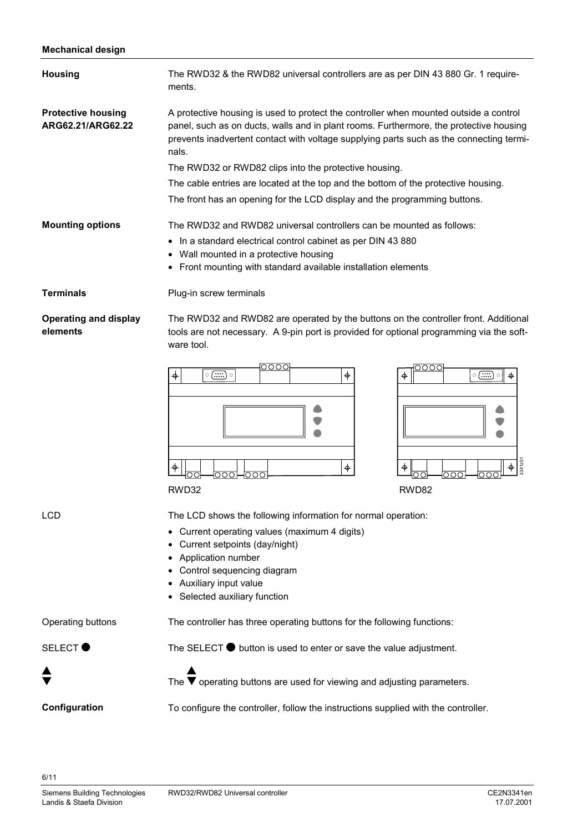#### **Mechanical design**

| vvava. uvv.g                                   |                                                                                                                                                                                                                                                                                                                                                                                                                                                                                                                 |  |  |
|------------------------------------------------|-----------------------------------------------------------------------------------------------------------------------------------------------------------------------------------------------------------------------------------------------------------------------------------------------------------------------------------------------------------------------------------------------------------------------------------------------------------------------------------------------------------------|--|--|
| <b>Housing</b>                                 | The RWD32 & the RWD82 universal controllers are as per DIN 43 880 Gr. 1 require-<br>ments.                                                                                                                                                                                                                                                                                                                                                                                                                      |  |  |
| <b>Protective housing</b><br>ARG62.21/ARG62.22 | A protective housing is used to protect the controller when mounted outside a control<br>panel, such as on ducts, walls and in plant rooms. Furthermore, the protective housing<br>prevents inadvertent contact with voltage supplying parts such as the connecting termi-<br>nals.<br>The RWD32 or RWD82 clips into the protective housing.<br>The cable entries are located at the top and the bottom of the protective housing.<br>The front has an opening for the LCD display and the programming buttons. |  |  |
| <b>Mounting options</b>                        | The RWD32 and RWD82 universal controllers can be mounted as follows:<br>In a standard electrical control cabinet as per DIN 43 880<br>Wall mounted in a protective housing<br>Front mounting with standard available installation elements<br>٠                                                                                                                                                                                                                                                                 |  |  |
| <b>Terminals</b>                               | Plug-in screw terminals                                                                                                                                                                                                                                                                                                                                                                                                                                                                                         |  |  |
| <b>Operating and display</b><br>elements       | The RWD32 and RWD82 are operated by the buttons on the controller front. Additional<br>tools are not necessary. A 9-pin port is provided for optional programming via the soft-<br>ware tool.<br>0000<br>DOOC<br>$\phi$<br>$\circ$ $(\ldots)$<br>$\circ$ () $\circ$<br>♦<br>φ<br>3341z0<br>$\color{red} \phi$<br>।००<br>000<br>೦೦೦⊢೦೦೦<br>OΟ<br>nn<br>RWD32<br>RWD82                                                                                                                                            |  |  |
| LCD                                            | The LCD shows the following information for normal operation:<br>Current operating values (maximum 4 digits)<br>Current setpoints (day/night)<br>Application number<br>Control sequencing diagram<br>Auxiliary input value<br>• Selected auxiliary function                                                                                                                                                                                                                                                     |  |  |
| Operating buttons                              | The controller has three operating buttons for the following functions:                                                                                                                                                                                                                                                                                                                                                                                                                                         |  |  |
| <b>SELECT</b>                                  | The SELECT $\bullet$ button is used to enter or save the value adjustment.                                                                                                                                                                                                                                                                                                                                                                                                                                      |  |  |
|                                                | The $\blacktriangledown$ operating buttons are used for viewing and adjusting parameters.                                                                                                                                                                                                                                                                                                                                                                                                                       |  |  |

To configure the controller, follow the instructions supplied with the controller.

6/11

**Configuration**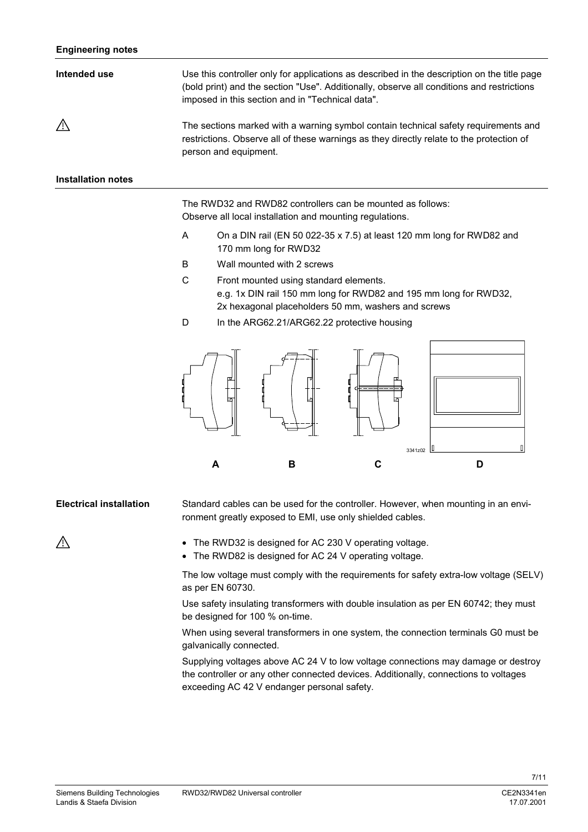| Intended use       | Use this controller only for applications as described in the description on the title page<br>(bold print) and the section "Use". Additionally, observe all conditions and restrictions<br>imposed in this section and in "Technical data". |
|--------------------|----------------------------------------------------------------------------------------------------------------------------------------------------------------------------------------------------------------------------------------------|
| $\bigwedge$        | The sections marked with a warning symbol contain technical safety requirements and<br>restrictions. Observe all of these warnings as they directly relate to the protection of<br>person and equipment.                                     |
| Installation notes |                                                                                                                                                                                                                                              |

The RWD32 and RWD82 controllers can be mounted as follows: Observe all local installation and mounting regulations.

- A On a DIN rail (EN 50 022-35 x 7.5) at least 120 mm long for RWD82 and 170 mm long for RWD32
- B Wall mounted with 2 screws
- C Front mounted using standard elements. e.g. 1x DIN rail 150 mm long for RWD82 and 195 mm long for RWD32, 2x hexagonal placeholders 50 mm, washers and screws
- D In the ARG62.21/ARG62.22 protective housing



#### Standard cables can be used for the controller. However, when mounting in an environment greatly exposed to EMI, use only shielded cables. **Electrical installation**

- The RWD32 is designed for AC 230 V operating voltage.
- The RWD82 is designed for AC 24 V operating voltage.

The low voltage must comply with the requirements for safety extra-low voltage (SELV) as per EN 60730.

Use safety insulating transformers with double insulation as per EN 60742; they must be designed for 100 % on-time.

When using several transformers in one system, the connection terminals G0 must be galvanically connected.

Supplying voltages above AC 24 V to low voltage connections may damage or destroy the controller or any other connected devices. Additionally, connections to voltages exceeding AC 42 V endanger personal safety.

### Λ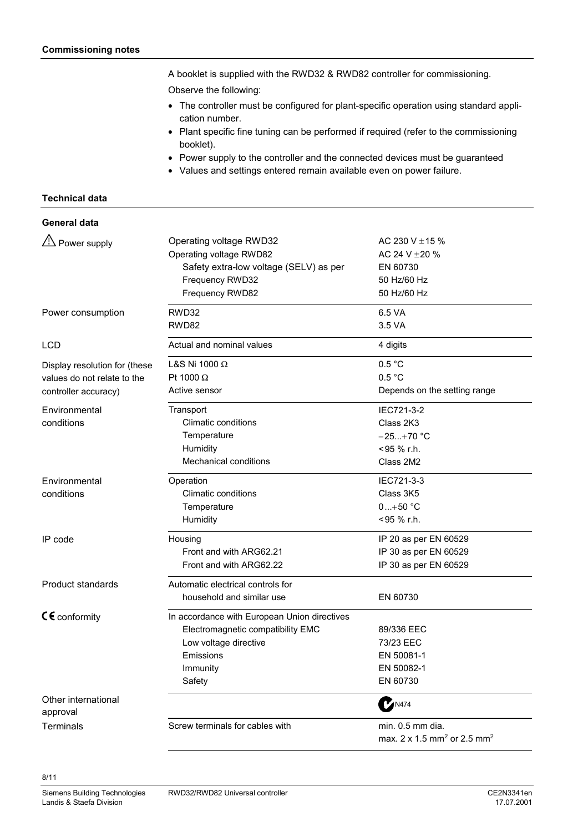A booklet is supplied with the RWD32 & RWD82 controller for commissioning.

Observe the following:

- The controller must be configured for plant-specific operation using standard application number.
- Plant specific fine tuning can be performed if required (refer to the commissioning booklet).
- Power supply to the controller and the connected devices must be guaranteed
- Values and settings entered remain available even on power failure.

#### **Technical data**

#### **General data**

| A Power supply                  | Operating voltage RWD32                      | AC 230 V $\pm$ 15 %                                 |  |
|---------------------------------|----------------------------------------------|-----------------------------------------------------|--|
|                                 | Operating voltage RWD82                      | AC 24 V $\pm$ 20 %                                  |  |
|                                 | Safety extra-low voltage (SELV) as per       | EN 60730                                            |  |
|                                 | Frequency RWD32                              | 50 Hz/60 Hz                                         |  |
|                                 | Frequency RWD82                              | 50 Hz/60 Hz                                         |  |
| Power consumption               | RWD32                                        | 6.5 VA                                              |  |
|                                 | RWD82                                        | 3.5 VA                                              |  |
| LCD                             | Actual and nominal values                    | 4 digits                                            |  |
| Display resolution for (these   | L&S Ni 1000 $\Omega$                         | 0.5 °C                                              |  |
| values do not relate to the     | Pt 1000 $\Omega$                             | 0.5 °C                                              |  |
| controller accuracy)            | Active sensor                                | Depends on the setting range                        |  |
| Environmental                   | Transport                                    | IEC721-3-2                                          |  |
| conditions                      | Climatic conditions                          | Class 2K3                                           |  |
|                                 | Temperature                                  | $-25+70$ °C                                         |  |
|                                 | Humidity                                     | <95 % r.h.                                          |  |
|                                 | <b>Mechanical conditions</b>                 | Class 2M2                                           |  |
| Environmental                   | Operation                                    | IEC721-3-3                                          |  |
| conditions                      | Climatic conditions                          | Class 3K5                                           |  |
|                                 | Temperature                                  | $0+50 °C$                                           |  |
|                                 | Humidity                                     | <95 % r.h.                                          |  |
| IP code                         | Housing                                      | IP 20 as per EN 60529                               |  |
|                                 | Front and with ARG62.21                      | IP 30 as per EN 60529                               |  |
|                                 | Front and with ARG62.22                      | IP 30 as per EN 60529                               |  |
| <b>Product standards</b>        | Automatic electrical controls for            |                                                     |  |
|                                 | household and similar use                    | EN 60730                                            |  |
| $C \epsilon$ conformity         | In accordance with European Union directives |                                                     |  |
|                                 | Electromagnetic compatibility EMC            | 89/336 EEC                                          |  |
|                                 | Low voltage directive                        | 73/23 EEC                                           |  |
|                                 | Emissions                                    | EN 50081-1                                          |  |
|                                 | Immunity                                     | EN 50082-1                                          |  |
|                                 | Safety                                       | EN 60730                                            |  |
| Other international<br>approval |                                              | <b>MAR474</b>                                       |  |
| Terminals                       | Screw terminals for cables with              | min. 0.5 mm dia.                                    |  |
|                                 |                                              | max. 2 x 1.5 mm <sup>2</sup> or 2.5 mm <sup>2</sup> |  |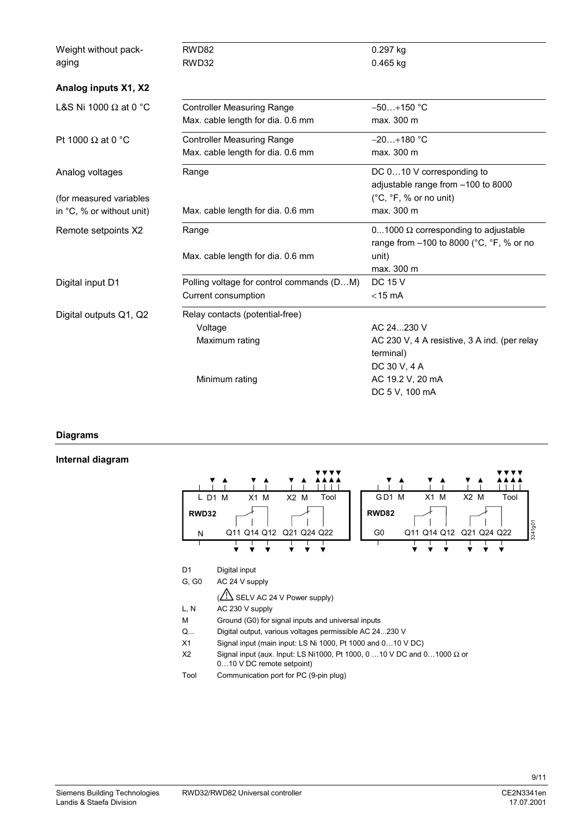| Weight without pack-         | RWD82                                     | 0.297 kg                                     |
|------------------------------|-------------------------------------------|----------------------------------------------|
| aging                        | RWD32                                     | $0.465$ kg                                   |
|                              |                                           |                                              |
| Analog inputs X1, X2         |                                           |                                              |
| L&S Ni 1000 $\Omega$ at 0 °C | <b>Controller Measuring Range</b>         | $-50+150$ °C                                 |
|                              | Max. cable length for dia. 0.6 mm         | max. 300 m                                   |
| Pt 1000 $\Omega$ at 0 °C     | <b>Controller Measuring Range</b>         | $-20+180$ °C                                 |
|                              | Max. cable length for dia. 0.6 mm         | max. 300 m                                   |
| Analog voltages              | Range                                     | DC 010 V corresponding to                    |
|                              |                                           | adjustable range from -100 to 8000           |
| (for measured variables      |                                           | $(^{\circ}C, ^{\circ}F,$ % or no unit)       |
| in °C, % or without unit)    | Max. cable length for dia. 0.6 mm         | max. 300 m                                   |
| Remote setpoints X2          | Range                                     | 01000 $\Omega$ corresponding to adjustable   |
|                              |                                           | range from -100 to 8000 (°C, °F, % or no     |
|                              | Max. cable length for dia. 0.6 mm         | unit)                                        |
|                              |                                           | max. 300 m                                   |
| Digital input D1             | Polling voltage for control commands (DM) | <b>DC 15 V</b>                               |
|                              | Current consumption                       | $<$ 15 mA                                    |
| Digital outputs Q1, Q2       | Relay contacts (potential-free)           |                                              |
|                              | Voltage                                   | AC 24  230 V                                 |
|                              | Maximum rating                            | AC 230 V, 4 A resistive, 3 A ind. (per relay |
|                              |                                           | terminal)                                    |
|                              |                                           | DC 30 V, 4 A                                 |
|                              | Minimum rating                            | AC 19.2 V, 20 mA                             |
|                              |                                           | DC 5 V, 100 mA                               |

#### **Diagrams**

#### **Internal diagram**

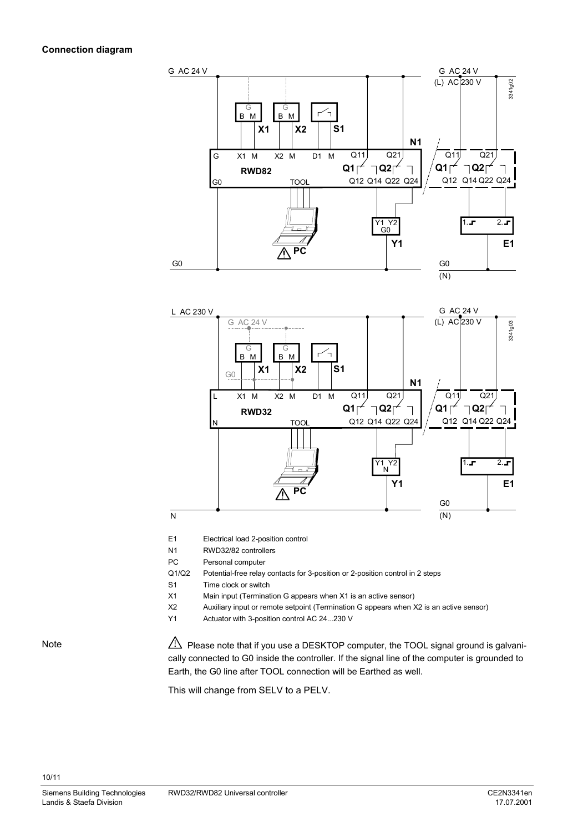#### **Connection diagram**





E1 Electrical load 2-position control

N1 RWD32/82 controllers

PC Personal computer

Q1/Q2 Potential-free relay contacts for 3-position or 2-position control in 2 steps

S1 Time clock or switch

X1 Main input (Termination G appears when X1 is an active sensor)

X2 Auxiliary input or remote setpoint (Termination G appears when X2 is an active sensor)

Y1 Actuator with 3-position control AC 24...230 V

Note

10/11

 $\sqrt{\frac{1}{2}}$  Please note that if you use a DESKTOP computer, the TOOL signal ground is galvanically connected to G0 inside the controller. If the signal line of the computer is grounded to Earth, the G0 line after TOOL connection will be Earthed as well.

This will change from SELV to a PELV.